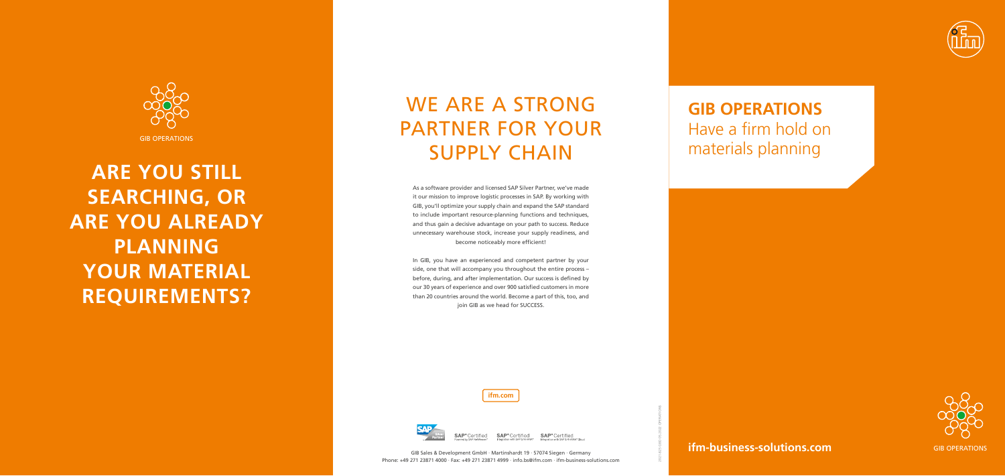**ifm-business-solutions.com**

**ifm.com**



Certified

2021-825 GBD 05.2022 OPERATIONS

GIB OPERATIONS

# WE ARE A STRONG PARTNER FOR YOUR SUPPLY CHAIN



**ARE YOU STILL SEARCHING, OR ARE YOU ALREADY PLANNING YOUR MATERIAL REQUIREMENTS?** 



**SAP**® Certified **SAP**<sup>®</sup> Certified

### **GIB OPERATIONS** Have a firm hold on materials planning

As a software provider and licensed SAP Silver Partner, we've made it our mission to improve logistic processes in SAP. By working with GIB, you'll optimize your supply chain and expand the SAP standard to include important resource-planning functions and techniques, and thus gain a decisive advantage on your path to success. Reduce unnecessary warehouse stock, increase your supply readiness, and become noticeably more efficient!

In GIB, you have an experienced and competent partner by your side, one that will accompany you throughout the entire process – before, during, and after implementation. Our success is defined by our 30 years of experience and over 900 satisfied customers in more than 20 countries around the world. Become a part of this, too, and join GIB as we head for SUCCESS.